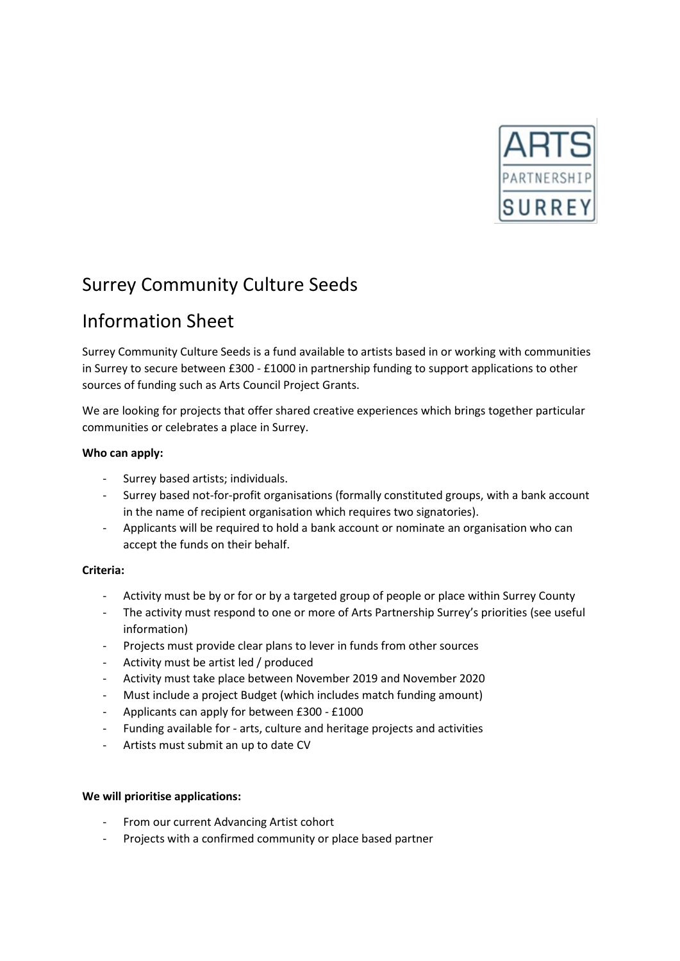

## Surrey Community Culture Seeds

# Information Sheet

Surrey Community Culture Seeds is a fund available to artists based in or working with communities in Surrey to secure between £300 - £1000 in partnership funding to support applications to other sources of funding such as Arts Council Project Grants.

We are looking for projects that offer shared creative experiences which brings together particular communities or celebrates a place in Surrey.

### **Who can apply:**

- Surrey based artists; individuals.
- Surrey based not-for-profit organisations (formally constituted groups, with a bank account in the name of recipient organisation which requires two signatories).
- Applicants will be required to hold a bank account or nominate an organisation who can accept the funds on their behalf.

### **Criteria:**

- Activity must be by or for or by a targeted group of people or place within Surrey County
- The activity must respond to one or more of Arts Partnership Surrey's priorities (see useful information)
- Projects must provide clear plans to lever in funds from other sources
- Activity must be artist led / produced
- Activity must take place between November 2019 and November 2020
- Must include a project Budget (which includes match funding amount)
- Applicants can apply for between £300 £1000
- Funding available for arts, culture and heritage projects and activities
- Artists must submit an up to date CV

### **We will prioritise applications:**

- From our current Advancing Artist cohort
- Projects with a confirmed community or place based partner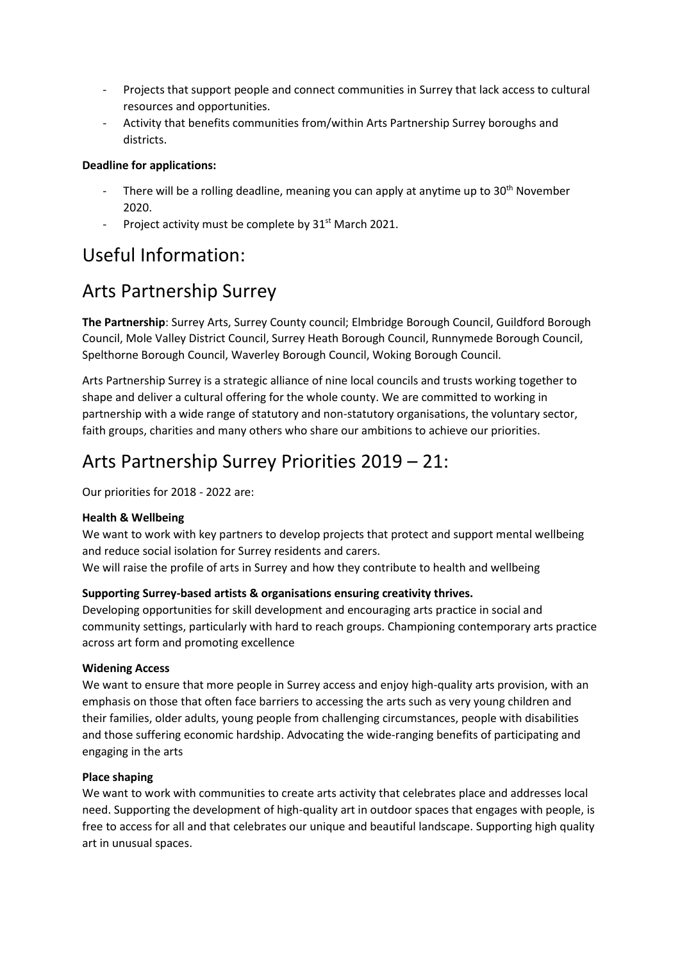- Projects that support people and connect communities in Surrey that lack access to cultural resources and opportunities.
- Activity that benefits communities from/within Arts Partnership Surrey boroughs and districts.

### **Deadline for applications:**

- There will be a rolling deadline, meaning you can apply at anytime up to  $30<sup>th</sup>$  November 2020.
- Project activity must be complete by  $31<sup>st</sup>$  March 2021.

### Useful Information:

### Arts Partnership Surrey

**The Partnership**: Surrey Arts, Surrey County council; Elmbridge Borough Council, Guildford Borough Council, Mole Valley District Council, Surrey Heath Borough Council, Runnymede Borough Council, Spelthorne Borough Council, Waverley Borough Council, Woking Borough Council.

Arts Partnership Surrey is a strategic alliance of nine local councils and trusts working together to shape and deliver a cultural offering for the whole county. We are committed to working in partnership with a wide range of statutory and non-statutory organisations, the voluntary sector, faith groups, charities and many others who share our ambitions to achieve our priorities.

### Arts Partnership Surrey Priorities 2019 – 21:

Our priorities for 2018 - 2022 are:

### **Health & Wellbeing**

We want to work with key partners to develop projects that protect and support mental wellbeing and reduce social isolation for Surrey residents and carers. We will raise the profile of arts in Surrey and how they contribute to health and wellbeing

### **Supporting Surrey-based artists & organisations ensuring creativity thrives.**

Developing opportunities for skill development and encouraging arts practice in social and community settings, particularly with hard to reach groups. Championing contemporary arts practice across art form and promoting excellence

### **Widening Access**

We want to ensure that more people in Surrey access and enjoy high-quality arts provision, with an emphasis on those that often face barriers to accessing the arts such as very young children and their families, older adults, young people from challenging circumstances, people with disabilities and those suffering economic hardship. Advocating the wide-ranging benefits of participating and engaging in the arts

### **Place shaping**

We want to work with communities to create arts activity that celebrates place and addresses local need. Supporting the development of high-quality art in outdoor spaces that engages with people, is free to access for all and that celebrates our unique and beautiful landscape. Supporting high quality art in unusual spaces.